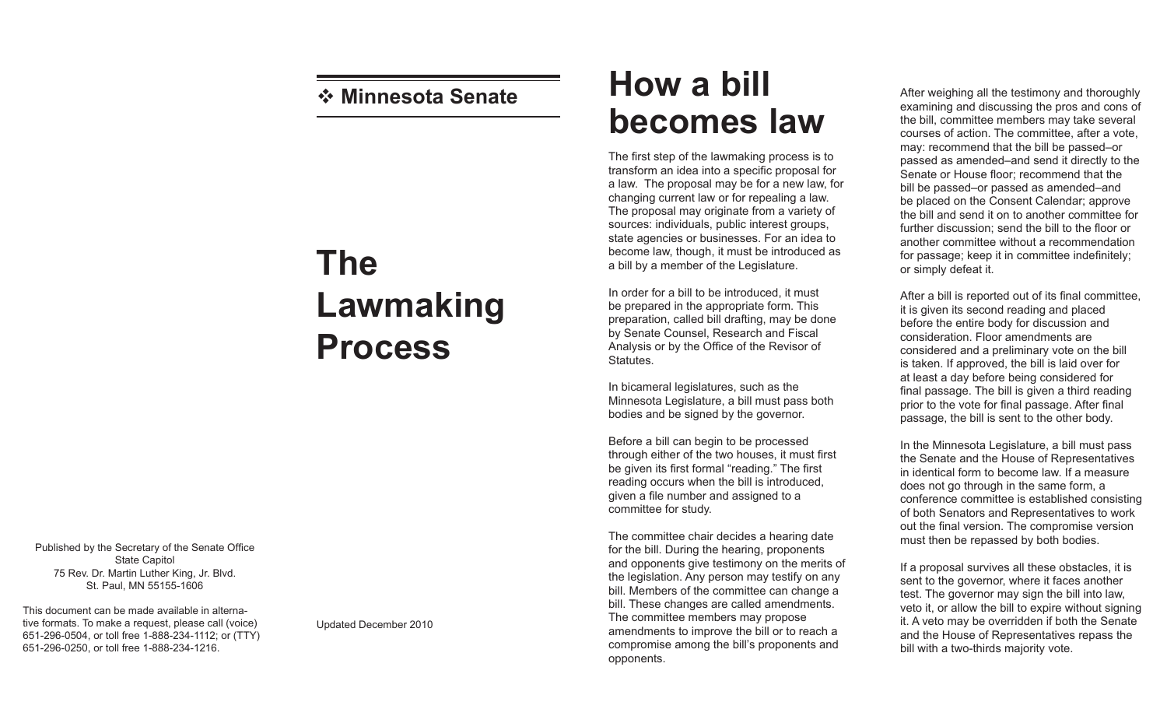## **Minnesota Senate**

## **The Lawmaking Process**

Published by the Secretary of the Senate Office State Capitol 75 Rev. Dr. Martin Luther King, Jr. Blvd. St. Paul, MN 55155-1606

This document can be made available in alternative formats. To make a request, please call (voice) 651-296-0504, or toll free 1-888-234-1112; or (TTY) 651-296-0250, or toll free 1-888-234-1216.

## Updated December 2010

## **How a bill becomes law**

The first step of the lawmaking process is to transform an idea into a specific proposal for a law. The proposal may be for a new law, for changing current law or for repealing a law. The proposal may originate from a variety of sources: individuals, public interest groups, state agencies or businesses. For an idea to become law, though, it must be introduced as a bill by a member of the Legislature.

In order for a bill to be introduced, it must be prepared in the appropriate form. This preparation, called bill drafting, may be done by Senate Counsel, Research and Fiscal Analysis or by the Office of the Revisor of Statutes.

In bicameral legislatures, such as the Minnesota Legislature, a bill must pass both bodies and be signed by the governor.

Before a bill can begin to be processed through either of the two houses, it must first be given its first formal "reading." The first reading occurs when the bill is introduced, given a file number and assigned to a committee for study.

The committee chair decides a hearing date for the bill. During the hearing, proponents and opponents give testimony on the merits of the legislation. Any person may testify on any bill. Members of the committee can change a bill. These changes are called amendments. The committee members may propose amendments to improve the bill or to reach a compromise among the bill's proponents and opponents.

After weighing all the testimony and thoroughly examining and discussing the pros and cons of the bill, committee members may take several courses of action. The committee, after a vote, may: recommend that the bill be passed–or passed as amended–and send it directly to the Senate or House floor; recommend that the bill be passed–or passed as amended–and be placed on the Consent Calendar; approve the bill and send it on to another committee for further discussion; send the bill to the floor or another committee without a recommendation for passage; keep it in committee indefinitely; or simply defeat it.

After a bill is reported out of its final committee, it is given its second reading and placed before the entire body for discussion and consideration. Floor amendments are considered and a preliminary vote on the bill is taken. If approved, the bill is laid over for at least a day before being considered for final passage. The bill is given a third reading prior to the vote for final passage. After final passage, the bill is sent to the other body.

In the Minnesota Legislature, a bill must pass the Senate and the House of Representatives in identical form to become law. If a measure does not go through in the same form, a conference committee is established consisting of both Senators and Representatives to work out the final version. The compromise version must then be repassed by both bodies.

If a proposal survives all these obstacles, it is sent to the governor, where it faces another test. The governor may sign the bill into law, veto it, or allow the bill to expire without signing it. A veto may be overridden if both the Senate and the House of Representatives repass the bill with a two-thirds majority vote.